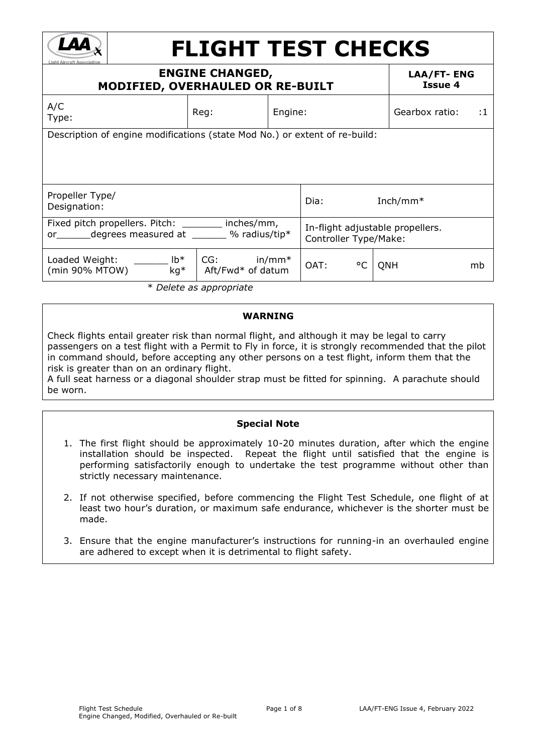

# **FLIGHT TEST CHECKS**

|                                                                                          |                        |                                                         |                                                    |     | <b>LAA/FT-ENG</b><br><b>Issue 4</b>                                        |                                                                                            |
|------------------------------------------------------------------------------------------|------------------------|---------------------------------------------------------|----------------------------------------------------|-----|----------------------------------------------------------------------------|--------------------------------------------------------------------------------------------|
| Reg:                                                                                     |                        |                                                         |                                                    |     |                                                                            | $\cdot$ :1                                                                                 |
|                                                                                          |                        |                                                         |                                                    |     |                                                                            |                                                                                            |
|                                                                                          |                        | Dia:                                                    |                                                    |     |                                                                            |                                                                                            |
|                                                                                          |                        |                                                         |                                                    |     |                                                                            |                                                                                            |
| $lb*$<br>CG:<br>in/mm*<br>Loaded Weight:<br>(min 90% MTOW)<br>$kg*$<br>Aft/Fwd* of datum |                        | OAT:                                                    | $^{\circ}$ C                                       | QNH |                                                                            | mb                                                                                         |
|                                                                                          | or degrees measured at | <b>ENGINE CHANGED,</b><br>inches/mm,<br>$%$ radius/tip* | <b>MODIFIED, OVERHAULED OR RE-BUILT</b><br>Engine: |     | Description of engine modifications (state Mod No.) or extent of re-build: | Gearbox ratio:<br>Inch/mm $*$<br>In-flight adjustable propellers.<br>Controller Type/Make: |

\* *Delete as appropriate*

### **WARNING**

Check flights entail greater risk than normal flight, and although it may be legal to carry passengers on a test flight with a Permit to Fly in force, it is strongly recommended that the pilot in command should, before accepting any other persons on a test flight, inform them that the risk is greater than on an ordinary flight.

A full seat harness or a diagonal shoulder strap must be fitted for spinning. A parachute should be worn.

#### **Special Note**

- 1. The first flight should be approximately 10-20 minutes duration, after which the engine installation should be inspected. Repeat the flight until satisfied that the engine is performing satisfactorily enough to undertake the test programme without other than strictly necessary maintenance.
- 2. If not otherwise specified, before commencing the Flight Test Schedule, one flight of at least two hour's duration, or maximum safe endurance, whichever is the shorter must be made.
- 3. Ensure that the engine manufacturer's instructions for running-in an overhauled engine are adhered to except when it is detrimental to flight safety.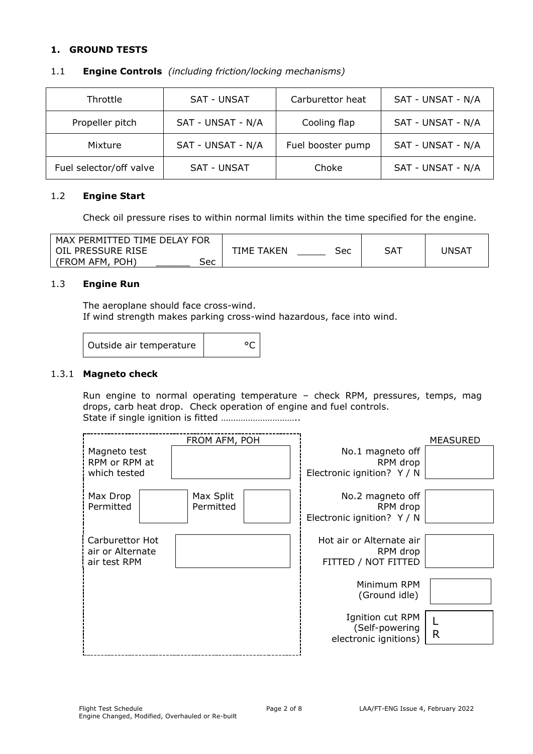## **1. GROUND TESTS**

| Throttle                | <b>SAT - UNSAT</b> | Carburettor heat  | SAT - UNSAT - N/A |
|-------------------------|--------------------|-------------------|-------------------|
| Propeller pitch         | SAT - UNSAT - N/A  | Cooling flap      | SAT - UNSAT - N/A |
| Mixture                 | SAT - UNSAT - N/A  | Fuel booster pump | SAT - UNSAT - N/A |
| Fuel selector/off valve | <b>SAT - UNSAT</b> | Choke             | SAT - UNSAT - N/A |

#### 1.1 **Engine Controls** *(including friction/locking mechanisms)*

#### 1.2 **Engine Start**

Check oil pressure rises to within normal limits within the time specified for the engine.

| MAX PERMITTED TIME DELAY FOR |            |     |     |                   |
|------------------------------|------------|-----|-----|-------------------|
| OIL PRESSURE RISE            | TIME TAKEN | Sec | SA1 | UNSA <sup>-</sup> |
| (FROM AFM,<br>POH'<br>Sec    |            |     |     |                   |

#### 1.3 **Engine Run**

The aeroplane should face cross-wind. If wind strength makes parking cross-wind hazardous, face into wind.

| Outside air temperature |  |
|-------------------------|--|
|                         |  |

#### 1.3.1 **Magneto check**

Run engine to normal operating temperature – check RPM, pressures, temps, mag drops, carb heat drop. Check operation of engine and fuel controls. State if single ignition is fitted …………………………..

|                               | FROM AFM, POH |                                        | MEASURED     |
|-------------------------------|---------------|----------------------------------------|--------------|
| Magneto test                  |               | No.1 magneto off                       |              |
| RPM or RPM at<br>which tested |               | RPM drop<br>Electronic ignition? Y / N |              |
|                               |               |                                        |              |
| Max Drop                      | Max Split     | No.2 magneto off                       |              |
| Permitted                     | Permitted     | RPM drop                               |              |
|                               |               | Electronic ignition? Y / N             |              |
|                               |               |                                        |              |
| Carburettor Hot               |               | Hot air or Alternate air               |              |
| air or Alternate              |               | RPM drop                               |              |
| air test RPM                  |               | FITTED / NOT FITTED                    |              |
|                               |               |                                        |              |
|                               |               | Minimum RPM                            |              |
|                               |               | (Ground idle)                          |              |
|                               |               | Ignition cut RPM                       |              |
|                               |               | (Self-powering                         |              |
|                               |               | electronic ignitions)                  | $\mathsf{R}$ |
|                               |               |                                        |              |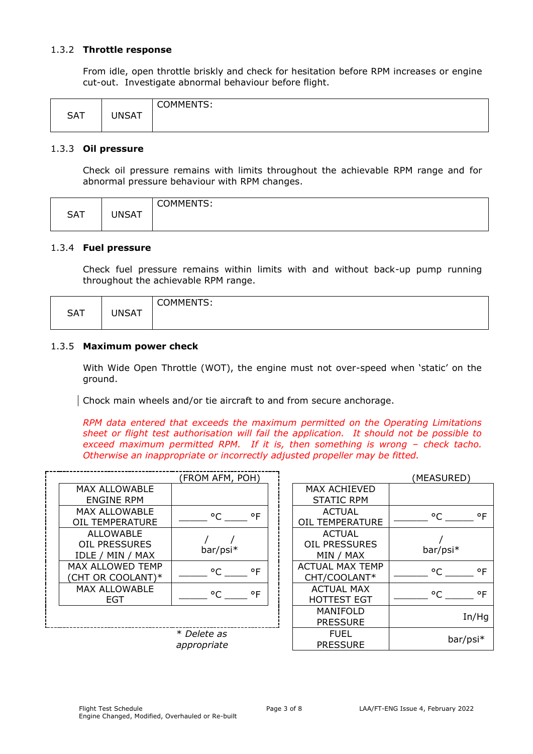#### 1.3.2 **Throttle response**

From idle, open throttle briskly and check for hesitation before RPM increases or engine cut-out. Investigate abnormal behaviour before flight.

| <b>SAT</b> | UNSAT | <b>COMMENTS:</b> |
|------------|-------|------------------|
|------------|-------|------------------|

#### 1.3.3 **Oil pressure**

Check oil pressure remains with limits throughout the achievable RPM range and for abnormal pressure behaviour with RPM changes.

|            |              | COMMENTS: |
|------------|--------------|-----------|
| <b>SAT</b> | <b>UNSAT</b> |           |
|            |              |           |

#### 1.3.4 **Fuel pressure**

Check fuel pressure remains within limits with and without back-up pump running throughout the achievable RPM range.

| <b>SAT</b> | JNSAT | <b>COMMENTS:</b><br>-<br>ັ |
|------------|-------|----------------------------|
|            |       |                            |

### 1.3.5 **Maximum power check**

With Wide Open Throttle (WOT), the engine must not over-speed when 'static' on the ground.

Chock main wheels and/or tie aircraft to and from secure anchorage.

*RPM data entered that exceeds the maximum permitted on the Operating Limitations sheet or flight test authorisation will fail the application. It should not be possible to exceed maximum permitted RPM. If it is, then something is wrong – check tacho. Otherwise an inappropriate or incorrectly adjusted propeller may be fitted.*

|                         | (FROM AFM, POH)              |                        |
|-------------------------|------------------------------|------------------------|
| <b>MAX ALLOWABLE</b>    |                              | <b>MAX ACHIEVED</b>    |
| <b>ENGINE RPM</b>       |                              | <b>STATIC RPM</b>      |
| <b>MAX ALLOWABLE</b>    | $^{\circ}$ F<br>$^{\circ}$ C | <b>ACTUAL</b>          |
| <b>OIL TEMPERATURE</b>  |                              | <b>OIL TEMPERATURE</b> |
| <b>ALLOWABLE</b>        |                              | <b>ACTUAL</b>          |
| <b>OIL PRESSURES</b>    | bar/psi*                     | <b>OIL PRESSURES</b>   |
| IDLE / MIN / MAX        |                              | MIN / MAX              |
| <b>MAX ALLOWED TEMP</b> | ۰F<br>$^{\circ}$ C           | <b>ACTUAL MAX TEMP</b> |
| (CHT OR COOLANT)*       |                              | CHT/COOLANT*           |
| MAX ALLOWABLE           | $^{\circ}$ F<br>۰ς           | <b>ACTUAL MAX</b>      |
| EGT                     |                              | <b>HOTTEST EGT</b>     |
|                         |                              | MANIFOLD               |
|                         |                              | <b>PRESSURE</b>        |
|                         | * Delete as                  | <b>FUEL</b>            |

| <b>MAX ACHIEVED</b>    |          |
|------------------------|----------|
| <b>STATIC RPM</b>      |          |
| ACTUAL                 | °C<br>۰F |
| <b>OIL TEMPERATURE</b> |          |
| <b>ACTUAL</b>          |          |
| <b>OIL PRESSURES</b>   | bar/psi* |
| MIN / MAX              |          |
| <b>ACTUAL MAX TEMP</b> | ۰F<br>∘∼ |
| CHT/COOLANT*           |          |
| <b>ACTUAL MAX</b>      | ٥F<br>°C |
| HOTTEST EGT            |          |
| MANIFOLD               |          |
| <b>PRESSURE</b>        | In/Hq    |
| FUEL                   |          |
| <b>PRESSURE</b>        | bar/psi* |

 $(MFASURFD)$ 

*appropriate*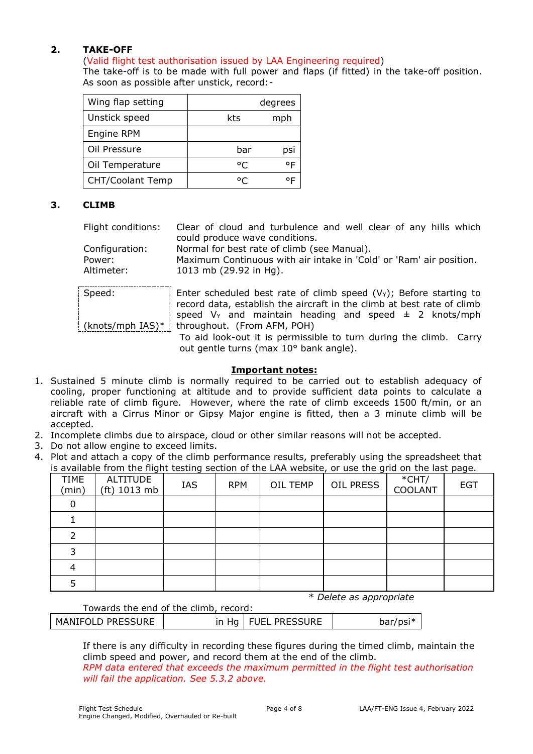## **2. TAKE-OFF**

## (Valid flight test authorisation issued by LAA Engineering required)

The take-off is to be made with full power and flaps (if fitted) in the take-off position. As soon as possible after unstick, record:-

| Wing flap setting |     | degrees |
|-------------------|-----|---------|
| Unstick speed     | kts | mph     |
| Engine RPM        |     |         |
| Oil Pressure      | bar | psi     |
| Oil Temperature   | ۰ς  | ٥F      |
| CHT/Coolant Temp  |     | ᅂ       |

## **3. CLIMB**

Flight conditions: Clear of cloud and turbulence and well clear of any hills which could produce wave conditions.

Configuration: Normal for best rate of climb (see Manual). Power: Maximum Continuous with air intake in 'Cold' or 'Ram' air position. Altimeter: 1013 mb (29.92 in Hg).

| Speed: | Enter scheduled best rate of climb speed $(V_Y)$ ; Before starting to  |
|--------|------------------------------------------------------------------------|
|        | record data, establish the aircraft in the climb at best rate of climb |
|        | speed $V_Y$ and maintain heading and speed $\pm$ 2 knots/mph           |
|        | (knots/mph IAS)*   throughout. (From AFM, POH)                         |
|        | To aid look-out it is permissible to turn during the climb. Carry      |
|        | out gentle turns (max 10° bank angle).                                 |

### **Important notes:**

- 1. Sustained 5 minute climb is normally required to be carried out to establish adequacy of cooling, proper functioning at altitude and to provide sufficient data points to calculate a reliable rate of climb figure. However, where the rate of climb exceeds 1500 ft/min, or an aircraft with a Cirrus Minor or Gipsy Major engine is fitted, then a 3 minute climb will be accepted.
- 2. Incomplete climbs due to airspace, cloud or other similar reasons will not be accepted.
- 3. Do not allow engine to exceed limits.
- 4. Plot and attach a copy of the climb performance results, preferably using the spreadsheet that is available from the flight testing section of the LAA website, or use the grid on the last page.

|                      | -                        | -   |            |          | -         |                     | _          |
|----------------------|--------------------------|-----|------------|----------|-----------|---------------------|------------|
| <b>TIME</b><br>(min) | ALTITUDE<br>(ft) 1013 mb | IAS | <b>RPM</b> | OIL TEMP | OIL PRESS | $*$ CHT/<br>COOLANT | <b>EGT</b> |
|                      |                          |     |            |          |           |                     |            |
|                      |                          |     |            |          |           |                     |            |
|                      |                          |     |            |          |           |                     |            |
|                      |                          |     |            |          |           |                     |            |
|                      |                          |     |            |          |           |                     |            |
|                      |                          |     |            |          |           |                     |            |

\* *Delete as appropriate*

Towards the end of the climb, record:

| <b>MANIFOLD PRESSURE</b> | in Hg   FUEL PRESSURE |  |
|--------------------------|-----------------------|--|
|                          |                       |  |

If there is any difficulty in recording these figures during the timed climb, maintain the climb speed and power, and record them at the end of the climb. *RPM data entered that exceeds the maximum permitted in the flight test authorisation will fail the application. See 5.3.2 above.*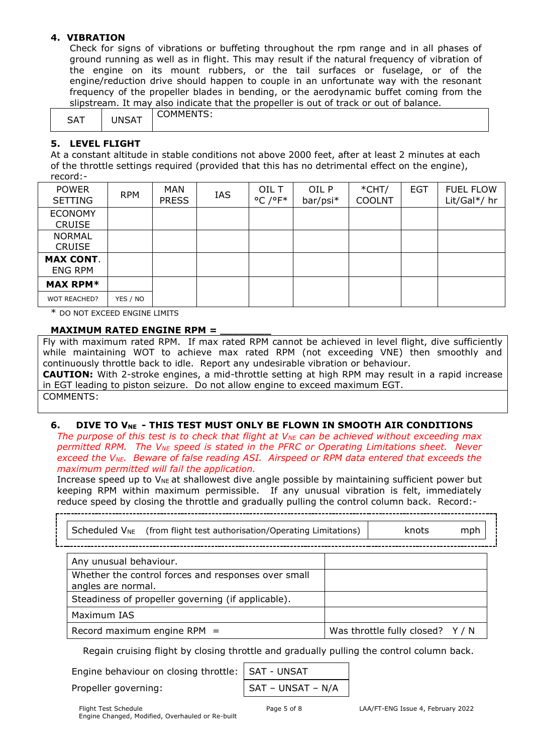## **4. VIBRATION**

Check for signs of vibrations or buffeting throughout the rpm range and in all phases of ground running as well as in flight. This may result if the natural frequency of vibration of the engine on its mount rubbers, or the tail surfaces or fuselage, or of the engine/reduction drive should happen to couple in an unfortunate way with the resonant frequency of the propeller blades in bending, or the aerodynamic buffet coming from the slipstream. It may also indicate that the propeller is out of track or out of balance.

| CAT<br>$\cdot$ | INIC<br>$\sim$<br>ורש | .<br>1MM.<br>ıм<br>ຼ |
|----------------|-----------------------|----------------------|
|----------------|-----------------------|----------------------|

## **5. LEVEL FLIGHT**

At a constant altitude in stable conditions not above 2000 feet, after at least 2 minutes at each of the throttle settings required (provided that this has no detrimental effect on the engine), record:-

| <b>POWER</b><br><b>SETTING</b>     | <b>RPM</b> | <b>MAN</b><br><b>PRESS</b> | IAS | OIL T<br>$^{\circ}$ C / $^{\circ}$ F* | OIL P<br>bar/psi* | $*$ CHT/<br><b>COOLNT</b> | <b>EGT</b> | <b>FUEL FLOW</b><br>Lit/Gal*/ hr |
|------------------------------------|------------|----------------------------|-----|---------------------------------------|-------------------|---------------------------|------------|----------------------------------|
| <b>ECONOMY</b><br><b>CRUISE</b>    |            |                            |     |                                       |                   |                           |            |                                  |
| <b>NORMAL</b><br><b>CRUISE</b>     |            |                            |     |                                       |                   |                           |            |                                  |
| <b>MAX CONT.</b><br><b>ENG RPM</b> |            |                            |     |                                       |                   |                           |            |                                  |
| <b>MAX RPM*</b>                    |            |                            |     |                                       |                   |                           |            |                                  |
| <b>WOT REACHED?</b>                | YES / NO   |                            |     |                                       |                   |                           |            |                                  |

\* DO NOT EXCEED ENGINE LIMITS

## **MAXIMUM RATED ENGINE RPM =**

Fly with maximum rated RPM. If max rated RPM cannot be achieved in level flight, dive sufficiently while maintaining WOT to achieve max rated RPM (not exceeding VNE) then smoothly and continuously throttle back to idle. Report any undesirable vibration or behaviour. **CAUTION:** With 2-stroke engines, a mid-throttle setting at high RPM may result in a rapid increase in EGT leading to piston seizure. Do not allow engine to exceed maximum EGT. COMMENTS:

## **6. DIVE TO VNE - THIS TEST MUST ONLY BE FLOWN IN SMOOTH AIR CONDITIONS**

*The purpose of this test is to check that flight at V<sub>NE</sub> can be achieved without exceeding max permitted RPM. The VNE speed is stated in the PFRC or Operating Limitations sheet. Never exceed the VNE. Beware of false reading ASI. Airspeed or RPM data entered that exceeds the maximum permitted will fail the application.*

Increase speed up to V<sub>NE</sub> at shallowest dive angle possible by maintaining sufficient power but keeping RPM within maximum permissible. If any unusual vibration is felt, immediately reduce speed by closing the throttle and gradually pulling the control column back. Record:-

| Scheduled $V_{NE}$ (from flight test authorisation/Operating Limitations) | knots                            | mph |
|---------------------------------------------------------------------------|----------------------------------|-----|
|                                                                           |                                  |     |
| Any unusual behaviour.                                                    |                                  |     |
| Whether the control forces and responses over small<br>angles are normal. |                                  |     |
| Steadiness of propeller governing (if applicable).                        |                                  |     |
| Maximum IAS                                                               |                                  |     |
| Record maximum engine RPM $=$                                             | Was throttle fully closed? $Y/N$ |     |

Regain cruising flight by closing throttle and gradually pulling the control column back.

Engine behaviour on closing throttle:

Propeller governing:

$$
\begin{array}{|c|c|}\n\hline\n\text{SAT} - \text{UNSAT} \\
\hline\n\text{SAT} - \text{UNSAT} - \text{N/A}\n\end{array}
$$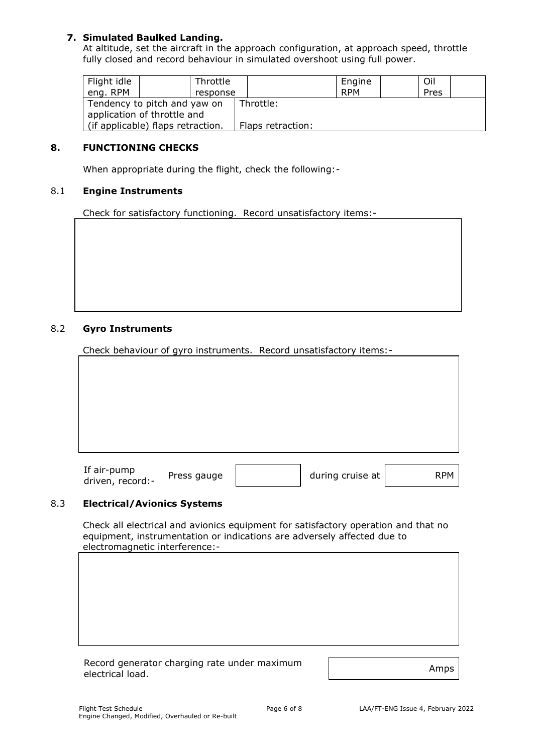## **7. Simulated Baulked Landing.**

At altitude, set the aircraft in the approach configuration, at approach speed, throttle fully closed and record behaviour in simulated overshoot using full power.

| Flight idle<br>eng. RPM | Throttle<br>response              |                   | Engine<br><b>RPM</b> | Oil<br>Pres |  |
|-------------------------|-----------------------------------|-------------------|----------------------|-------------|--|
|                         | Tendency to pitch and yaw on      | Throttle:         |                      |             |  |
|                         | application of throttle and       |                   |                      |             |  |
|                         | (if applicable) flaps retraction. | Flaps retraction: |                      |             |  |

## **8. FUNCTIONING CHECKS**

When appropriate during the flight, check the following:-

### 8.1 **Engine Instruments**

Check for satisfactory functioning. Record unsatisfactory items:-

### 8.2 **Gyro Instruments**

Check behaviour of gyro instruments. Record unsatisfactory items:-

| If air-pump      |         |
|------------------|---------|
| driven, record:- | Press g |

auge  $\vert$  during cruise at  $\vert$  RPM

#### 8.3 **Electrical/Avionics Systems**

Check all electrical and avionics equipment for satisfactory operation and that no equipment, instrumentation or indications are adversely affected due to electromagnetic interference:-

| Record generator charging rate under maximum |      |
|----------------------------------------------|------|
| electrical load.                             | Amps |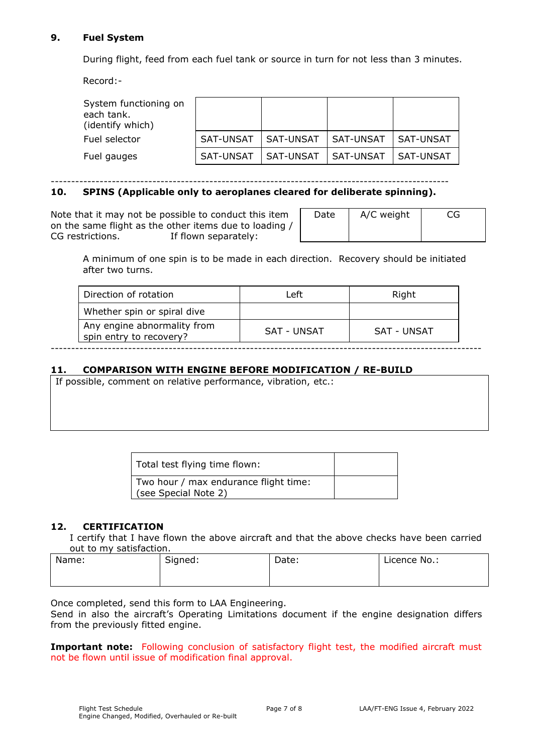## **9. Fuel System**

During flight, feed from each fuel tank or source in turn for not less than 3 minutes.

Record:-

| System functioning on<br>each tank.<br>(identify which) |                  |           |             |           |
|---------------------------------------------------------|------------------|-----------|-------------|-----------|
| Fuel selector                                           | SAT-UNSAT        | SAT-UNSAT | l SAT-UNSAT | SAT-UNSAT |
| Fuel gauges                                             | <b>SAT-UNSAT</b> | SAT-UNSAT | l SAT-UNSAT | SAT-UNSAT |

--------------------------------------------------------------------------------------------------

# **10. SPINS (Applicable only to aeroplanes cleared for deliberate spinning).**

Note that it may not be possible to conduct this item on the same flight as the other items due to loading / CG restrictions. The If flown separately:

| Date | A/C weight | CG |
|------|------------|----|
|      |            |    |

A minimum of one spin is to be made in each direction. Recovery should be initiated after two turns.

| Whether spin or spiral dive<br>Any engine abnormality from<br>SAT - UNSAT<br>SAT - UNSAT | Direction of rotation   | Left | Right |
|------------------------------------------------------------------------------------------|-------------------------|------|-------|
|                                                                                          |                         |      |       |
|                                                                                          | spin entry to recovery? |      |       |

## **11. COMPARISON WITH ENGINE BEFORE MODIFICATION / RE-BUILD**

If possible, comment on relative performance, vibration, etc.:

| Total test flying time flown:                                 |  |
|---------------------------------------------------------------|--|
| Two hour / max endurance flight time:<br>(see Special Note 2) |  |

## **12. CERTIFICATION**

I certify that I have flown the above aircraft and that the above checks have been carried out to my satisfaction.

| Name: | Signed: | Date: | Licence No.: |
|-------|---------|-------|--------------|
|       |         |       |              |

Once completed, send this form to LAA Engineering.

Send in also the aircraft's Operating Limitations document if the engine designation differs from the previously fitted engine.

**Important note:** Following conclusion of satisfactory flight test, the modified aircraft must not be flown until issue of modification final approval.